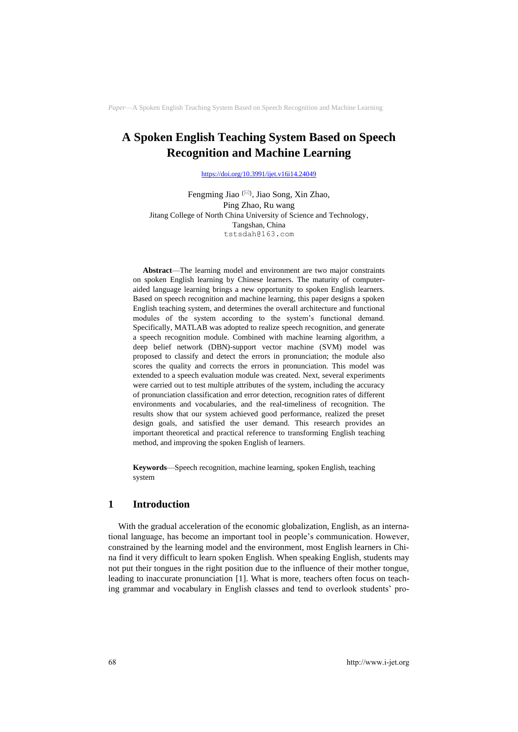# **A Spoken English Teaching System Based on Speech Recognition and Machine Learning**

<https://doi.org/10.3991/ijet.v16i14.24049>

Fengming Jiao (<sup>⊠)</sup>, Jiao Song, Xin Zhao, Ping Zhao, Ru wang Jitang College of North China University of Science and Technology, Tangshan, China tstsdah@163.com

**Abstract**—The learning model and environment are two major constraints on spoken English learning by Chinese learners. The maturity of computeraided language learning brings a new opportunity to spoken English learners. Based on speech recognition and machine learning, this paper designs a spoken English teaching system, and determines the overall architecture and functional modules of the system according to the system's functional demand. Specifically, MATLAB was adopted to realize speech recognition, and generate a speech recognition module. Combined with machine learning algorithm, a deep belief network (DBN)-support vector machine (SVM) model was proposed to classify and detect the errors in pronunciation; the module also scores the quality and corrects the errors in pronunciation. This model was extended to a speech evaluation module was created. Next, several experiments were carried out to test multiple attributes of the system, including the accuracy of pronunciation classification and error detection, recognition rates of different environments and vocabularies, and the real-timeliness of recognition. The results show that our system achieved good performance, realized the preset design goals, and satisfied the user demand. This research provides an important theoretical and practical reference to transforming English teaching method, and improving the spoken English of learners.

**Keywords**—Speech recognition, machine learning, spoken English, teaching system

# **1 Introduction**

With the gradual acceleration of the economic globalization, English, as an international language, has become an important tool in people's communication. However, constrained by the learning model and the environment, most English learners in China find it very difficult to learn spoken English. When speaking English, students may not put their tongues in the right position due to the influence of their mother tongue, leading to inaccurate pronunciation [1]. What is more, teachers often focus on teaching grammar and vocabulary in English classes and tend to overlook students' pro-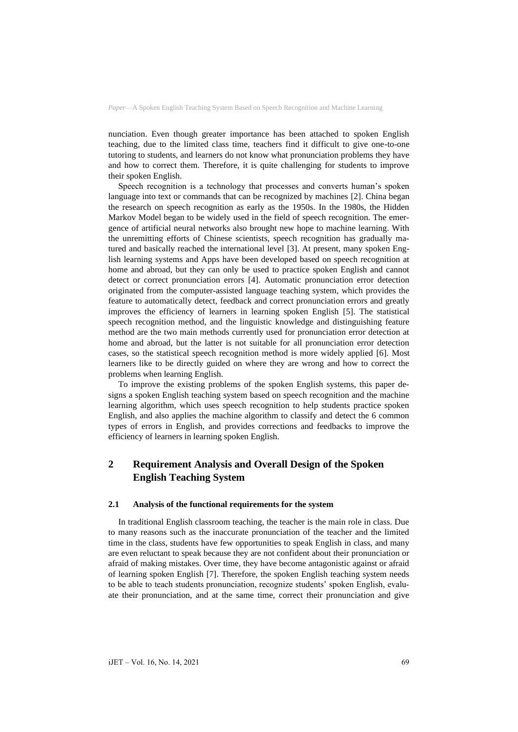nunciation. Even though greater importance has been attached to spoken English teaching, due to the limited class time, teachers find it difficult to give one-to-one tutoring to students, and learners do not know what pronunciation problems they have and how to correct them. Therefore, it is quite challenging for students to improve their spoken English.

Speech recognition is a technology that processes and converts human's spoken language into text or commands that can be recognized by machines [2]. China began the research on speech recognition as early as the 1950s. In the 1980s, the Hidden Markov Model began to be widely used in the field of speech recognition. The emergence of artificial neural networks also brought new hope to machine learning. With the unremitting efforts of Chinese scientists, speech recognition has gradually matured and basically reached the international level [3]. At present, many spoken English learning systems and Apps have been developed based on speech recognition at home and abroad, but they can only be used to practice spoken English and cannot detect or correct pronunciation errors [4]. Automatic pronunciation error detection originated from the computer-assisted language teaching system, which provides the feature to automatically detect, feedback and correct pronunciation errors and greatly improves the efficiency of learners in learning spoken English [5]. The statistical speech recognition method, and the linguistic knowledge and distinguishing feature method are the two main methods currently used for pronunciation error detection at home and abroad, but the latter is not suitable for all pronunciation error detection cases, so the statistical speech recognition method is more widely applied [6]. Most learners like to be directly guided on where they are wrong and how to correct the problems when learning English.

To improve the existing problems of the spoken English systems, this paper designs a spoken English teaching system based on speech recognition and the machine learning algorithm, which uses speech recognition to help students practice spoken English, and also applies the machine algorithm to classify and detect the 6 common types of errors in English, and provides corrections and feedbacks to improve the efficiency of learners in learning spoken English.

# **2 Requirement Analysis and Overall Design of the Spoken English Teaching System**

#### **2.1 Analysis of the functional requirements for the system**

In traditional English classroom teaching, the teacher is the main role in class. Due to many reasons such as the inaccurate pronunciation of the teacher and the limited time in the class, students have few opportunities to speak English in class, and many are even reluctant to speak because they are not confident about their pronunciation or afraid of making mistakes. Over time, they have become antagonistic against or afraid of learning spoken English [7]. Therefore, the spoken English teaching system needs to be able to teach students pronunciation, recognize students' spoken English, evaluate their pronunciation, and at the same time, correct their pronunciation and give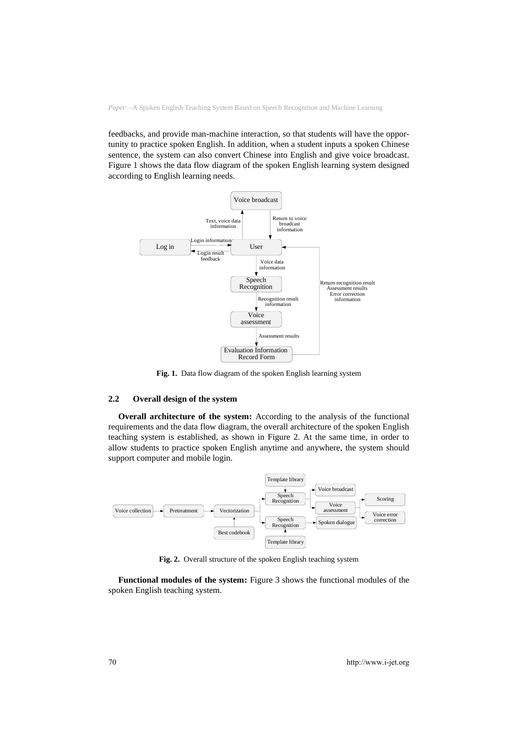feedbacks, and provide man-machine interaction, so that students will have the opportunity to practice spoken English. In addition, when a student inputs a spoken Chinese sentence, the system can also convert Chinese into English and give voice broadcast. Figure 1 shows the data flow diagram of the spoken English learning system designed according to English learning needs.



**Fig. 1.** Data flow diagram of the spoken English learning system

#### **2.2 Overall design of the system**

**Overall architecture of the system:** According to the analysis of the functional requirements and the data flow diagram, the overall architecture of the spoken English teaching system is established, as shown in Figure 2. At the same time, in order to allow students to practice spoken English anytime and anywhere, the system should support computer and mobile login.



**Fig. 2.** Overall structure of the spoken English teaching system

**Functional modules of the system:** Figure 3 shows the functional modules of the spoken English teaching system.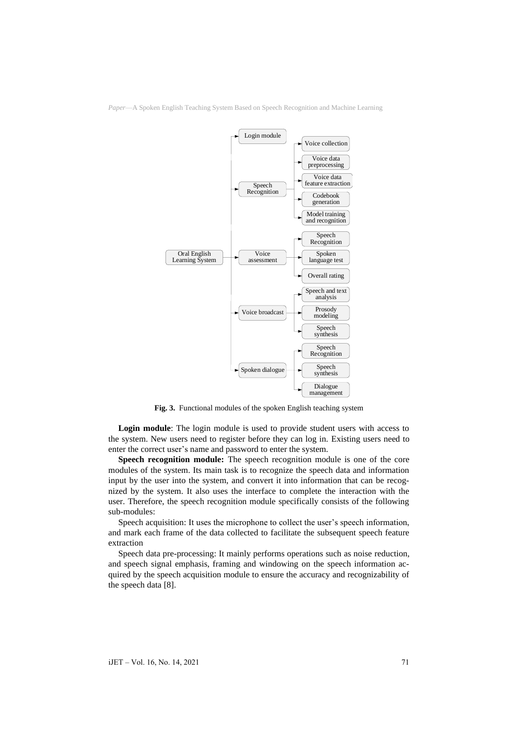

**Fig. 3.** Functional modules of the spoken English teaching system

**Login module**: The login module is used to provide student users with access to the system. New users need to register before they can log in. Existing users need to enter the correct user's name and password to enter the system.

**Speech recognition module:** The speech recognition module is one of the core modules of the system. Its main task is to recognize the speech data and information input by the user into the system, and convert it into information that can be recognized by the system. It also uses the interface to complete the interaction with the user. Therefore, the speech recognition module specifically consists of the following sub-modules:

Speech acquisition: It uses the microphone to collect the user's speech information, and mark each frame of the data collected to facilitate the subsequent speech feature extraction

Speech data pre-processing: It mainly performs operations such as noise reduction, and speech signal emphasis, framing and windowing on the speech information acquired by the speech acquisition module to ensure the accuracy and recognizability of the speech data [8].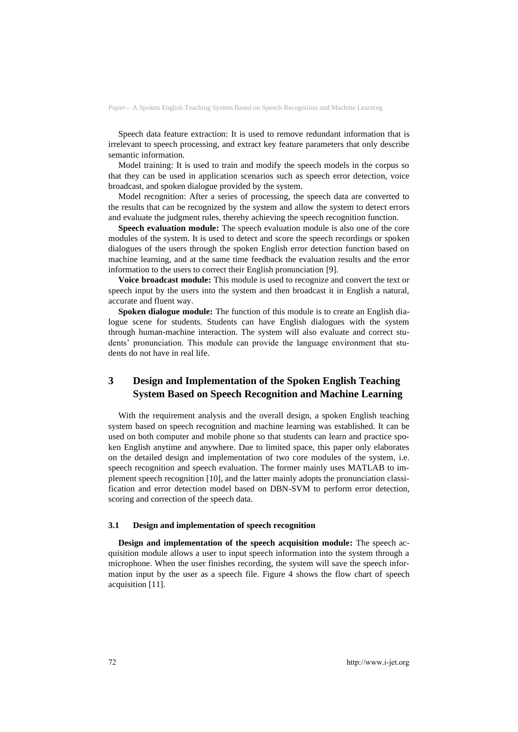Speech data feature extraction: It is used to remove redundant information that is irrelevant to speech processing, and extract key feature parameters that only describe semantic information.

Model training: It is used to train and modify the speech models in the corpus so that they can be used in application scenarios such as speech error detection, voice broadcast, and spoken dialogue provided by the system.

Model recognition: After a series of processing, the speech data are converted to the results that can be recognized by the system and allow the system to detect errors and evaluate the judgment rules, thereby achieving the speech recognition function.

**Speech evaluation module:** The speech evaluation module is also one of the core modules of the system. It is used to detect and score the speech recordings or spoken dialogues of the users through the spoken English error detection function based on machine learning, and at the same time feedback the evaluation results and the error information to the users to correct their English pronunciation [9].

**Voice broadcast module:** This module is used to recognize and convert the text or speech input by the users into the system and then broadcast it in English a natural, accurate and fluent way.

**Spoken dialogue module:** The function of this module is to create an English dialogue scene for students. Students can have English dialogues with the system through human-machine interaction. The system will also evaluate and correct students' pronunciation. This module can provide the language environment that students do not have in real life.

# **3 Design and Implementation of the Spoken English Teaching System Based on Speech Recognition and Machine Learning**

With the requirement analysis and the overall design, a spoken English teaching system based on speech recognition and machine learning was established. It can be used on both computer and mobile phone so that students can learn and practice spoken English anytime and anywhere. Due to limited space, this paper only elaborates on the detailed design and implementation of two core modules of the system, i.e. speech recognition and speech evaluation. The former mainly uses MATLAB to implement speech recognition [10], and the latter mainly adopts the pronunciation classification and error detection model based on DBN-SVM to perform error detection, scoring and correction of the speech data.

#### **3.1 Design and implementation of speech recognition**

**Design and implementation of the speech acquisition module:** The speech acquisition module allows a user to input speech information into the system through a microphone. When the user finishes recording, the system will save the speech information input by the user as a speech file. Figure 4 shows the flow chart of speech acquisition [11].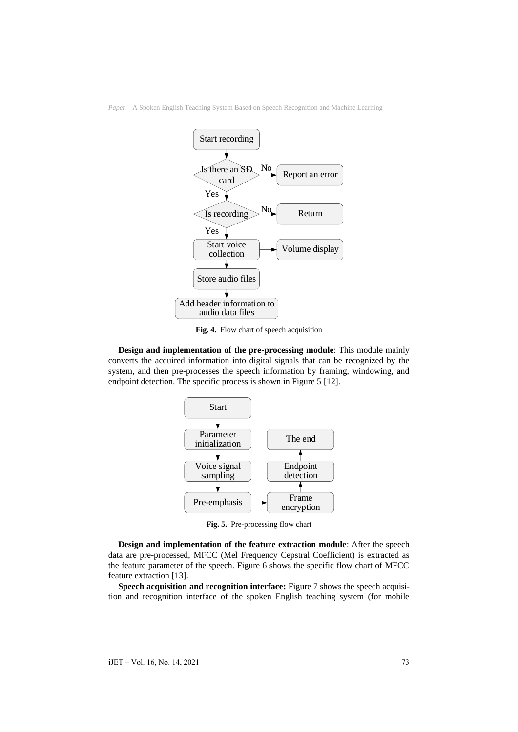

**Fig. 4.** Flow chart of speech acquisition

**Design and implementation of the pre-processing module**: This module mainly converts the acquired information into digital signals that can be recognized by the system, and then pre-processes the speech information by framing, windowing, and endpoint detection. The specific process is shown in Figure 5 [12].



**Fig. 5.** Pre-processing flow chart

**Design and implementation of the feature extraction module**: After the speech data are pre-processed, MFCC (Mel Frequency Cepstral Coefficient) is extracted as the feature parameter of the speech. Figure 6 shows the specific flow chart of MFCC feature extraction [13].

**Speech acquisition and recognition interface:** Figure 7 shows the speech acquisition and recognition interface of the spoken English teaching system (for mobile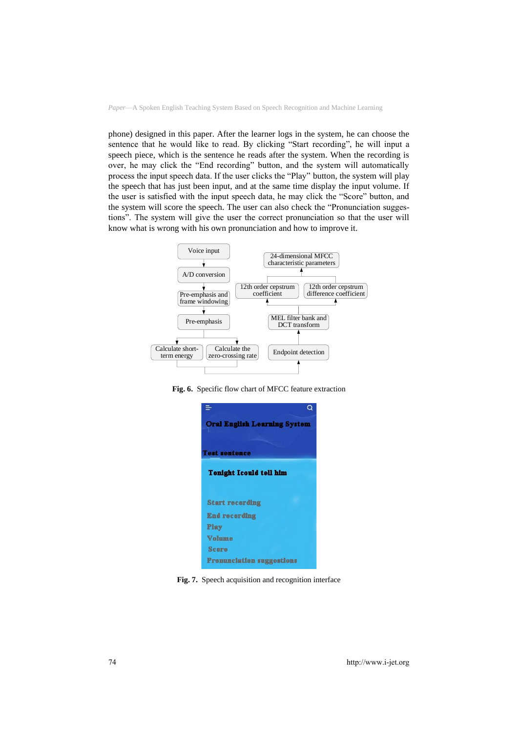phone) designed in this paper. After the learner logs in the system, he can choose the sentence that he would like to read. By clicking "Start recording", he will input a speech piece, which is the sentence he reads after the system. When the recording is over, he may click the "End recording" button, and the system will automatically process the input speech data. If the user clicks the "Play" button, the system will play the speech that has just been input, and at the same time display the input volume. If the user is satisfied with the input speech data, he may click the "Score" button, and the system will score the speech. The user can also check the "Pronunciation suggestions". The system will give the user the correct pronunciation so that the user will know what is wrong with his own pronunciation and how to improve it.



**Fig. 6.** Specific flow chart of MFCC feature extraction



**Fig. 7.** Speech acquisition and recognition interface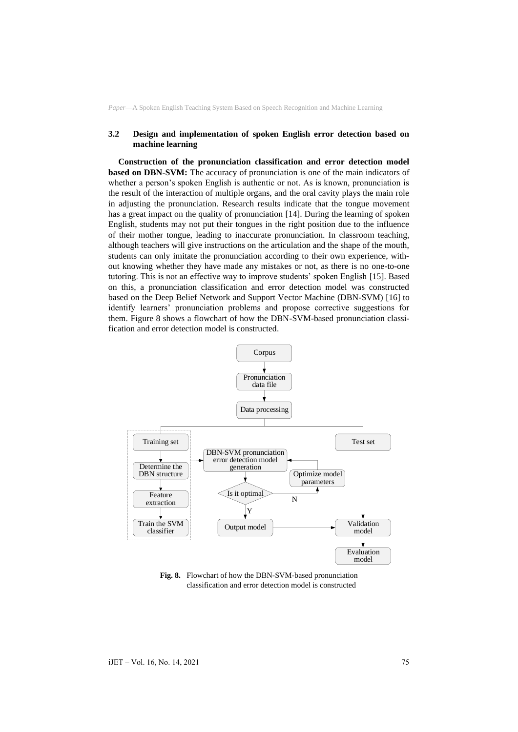#### **3.2 Design and implementation of spoken English error detection based on machine learning**

**Construction of the pronunciation classification and error detection model based on DBN-SVM:** The accuracy of pronunciation is one of the main indicators of whether a person's spoken English is authentic or not. As is known, pronunciation is the result of the interaction of multiple organs, and the oral cavity plays the main role in adjusting the pronunciation. Research results indicate that the tongue movement has a great impact on the quality of pronunciation [14]. During the learning of spoken English, students may not put their tongues in the right position due to the influence of their mother tongue, leading to inaccurate pronunciation. In classroom teaching, although teachers will give instructions on the articulation and the shape of the mouth, students can only imitate the pronunciation according to their own experience, without knowing whether they have made any mistakes or not, as there is no one-to-one tutoring. This is not an effective way to improve students' spoken English [15]. Based on this, a pronunciation classification and error detection model was constructed based on the Deep Belief Network and Support Vector Machine (DBN-SVM) [16] to identify learners' pronunciation problems and propose corrective suggestions for them. Figure 8 shows a flowchart of how the DBN-SVM-based pronunciation classification and error detection model is constructed.



**Fig. 8.** Flowchart of how the DBN-SVM-based pronunciation classification and error detection model is constructed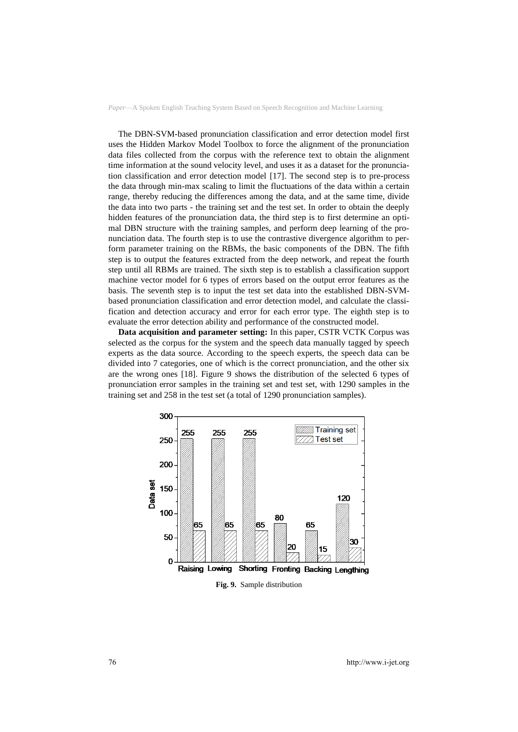The DBN-SVM-based pronunciation classification and error detection model first uses the Hidden Markov Model Toolbox to force the alignment of the pronunciation data files collected from the corpus with the reference text to obtain the alignment time information at the sound velocity level, and uses it as a dataset for the pronunciation classification and error detection model [17]. The second step is to pre-process the data through min-max scaling to limit the fluctuations of the data within a certain range, thereby reducing the differences among the data, and at the same time, divide the data into two parts - the training set and the test set. In order to obtain the deeply hidden features of the pronunciation data, the third step is to first determine an optimal DBN structure with the training samples, and perform deep learning of the pronunciation data. The fourth step is to use the contrastive divergence algorithm to perform parameter training on the RBMs, the basic components of the DBN. The fifth step is to output the features extracted from the deep network, and repeat the fourth step until all RBMs are trained. The sixth step is to establish a classification support machine vector model for 6 types of errors based on the output error features as the basis. The seventh step is to input the test set data into the established DBN-SVMbased pronunciation classification and error detection model, and calculate the classification and detection accuracy and error for each error type. The eighth step is to evaluate the error detection ability and performance of the constructed model.

**Data acquisition and parameter setting:** In this paper, CSTR VCTK Corpus was selected as the corpus for the system and the speech data manually tagged by speech experts as the data source. According to the speech experts, the speech data can be divided into 7 categories, one of which is the correct pronunciation, and the other six are the wrong ones [18]. Figure 9 shows the distribution of the selected 6 types of pronunciation error samples in the training set and test set, with 1290 samples in the training set and 258 in the test set (a total of 1290 pronunciation samples).



**Fig. 9.** Sample distribution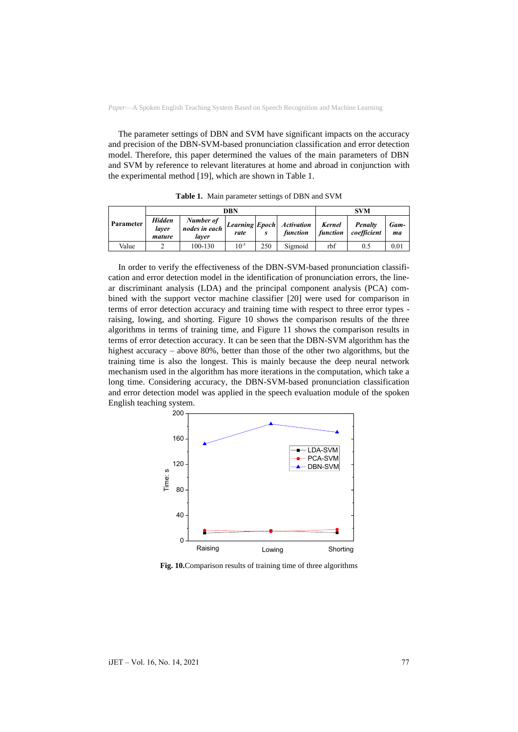The parameter settings of DBN and SVM have significant impacts on the accuracy and precision of the DBN-SVM-based pronunciation classification and error detection model. Therefore, this paper determined the values of the main parameters of DBN and SVM by reference to relevant literatures at home and abroad in conjunction with the experimental method [19], which are shown in Table 1.

|           |                           | DBN                                 | <b>SVM</b> |     |                                                |     |                                   |            |
|-----------|---------------------------|-------------------------------------|------------|-----|------------------------------------------------|-----|-----------------------------------|------------|
| Parameter | Hidden<br>laver<br>mature | Number of<br>nodes in each<br>laver | rate       |     | Learning Epoch Activation   Kernel<br>function |     | Penalty<br>function   coefficient | Gam-<br>ma |
| Value     |                           | 100-130                             | $10^{-5}$  | 250 | Sigmoid                                        | rbf | 0.5                               | 0.01       |

**Table 1.** Main parameter settings of DBN and SVM

In order to verify the effectiveness of the DBN-SVM-based pronunciation classification and error detection model in the identification of pronunciation errors, the linear discriminant analysis (LDA) and the principal component analysis (PCA) combined with the support vector machine classifier [20] were used for comparison in terms of error detection accuracy and training time with respect to three error types raising, lowing, and shorting. Figure 10 shows the comparison results of the three algorithms in terms of training time, and Figure 11 shows the comparison results in terms of error detection accuracy. It can be seen that the DBN-SVM algorithm has the highest accuracy – above 80%, better than those of the other two algorithms, but the training time is also the longest. This is mainly because the deep neural network mechanism used in the algorithm has more iterations in the computation, which take a long time. Considering accuracy, the DBN-SVM-based pronunciation classification and error detection model was applied in the speech evaluation module of the spoken English teaching system.



**Fig. 10.**Comparison results of training time of three algorithms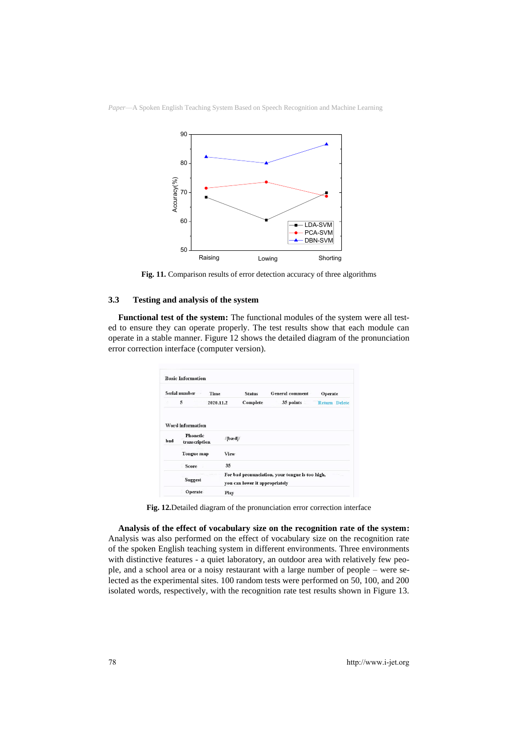



**Fig. 11.** Comparison results of error detection accuracy of three algorithms

#### **3.3 Testing and analysis of the system**

**Functional test of the system:** The functional modules of the system were all tested to ensure they can operate properly. The test results show that each module can operate in a stable manner. Figure 12 shows the detailed diagram of the pronunciation error correction interface (computer version).

|     | <b>Basic Information</b>         |                    |                                |                                                 |                      |  |
|-----|----------------------------------|--------------------|--------------------------------|-------------------------------------------------|----------------------|--|
|     | Serial number<br><b>Time</b>     |                    | <b>Status</b>                  | <b>General comment</b>                          | Operate              |  |
|     | 5                                | 2020.11.2          | Complete                       | 35 points                                       | <b>Return Delete</b> |  |
|     | Word information                 |                    |                                |                                                 |                      |  |
|     |                                  |                    |                                |                                                 |                      |  |
|     | <b>Phonetic</b><br>transcription | $/[\mathbf{bad}]/$ |                                |                                                 |                      |  |
|     | <b>Tongue</b> map                | View               |                                |                                                 |                      |  |
| bad | Score                            | 35                 |                                |                                                 |                      |  |
|     |                                  |                    |                                | For bad pronunciation, your tongue is too high, |                      |  |
|     | <b>Suggest</b>                   |                    | you can lower it appropriately |                                                 |                      |  |

**Fig. 12.**Detailed diagram of the pronunciation error correction interface

**Analysis of the effect of vocabulary size on the recognition rate of the system:**  Analysis was also performed on the effect of vocabulary size on the recognition rate of the spoken English teaching system in different environments. Three environments with distinctive features - a quiet laboratory, an outdoor area with relatively few people, and a school area or a noisy restaurant with a large number of people – were selected as the experimental sites. 100 random tests were performed on 50, 100, and 200 isolated words, respectively, with the recognition rate test results shown in Figure 13.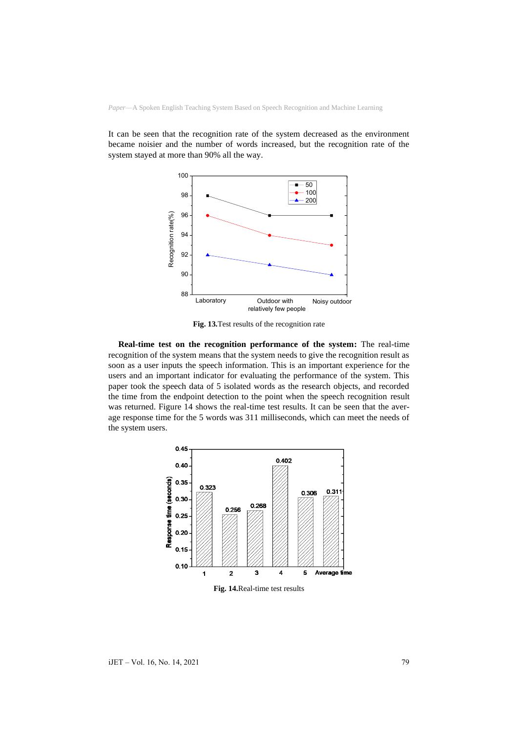It can be seen that the recognition rate of the system decreased as the environment became noisier and the number of words increased, but the recognition rate of the system stayed at more than 90% all the way.



**Fig. 13.**Test results of the recognition rate

**Real-time test on the recognition performance of the system:** The real-time recognition of the system means that the system needs to give the recognition result as soon as a user inputs the speech information. This is an important experience for the users and an important indicator for evaluating the performance of the system. This paper took the speech data of 5 isolated words as the research objects, and recorded the time from the endpoint detection to the point when the speech recognition result was returned. Figure 14 shows the real-time test results. It can be seen that the average response time for the 5 words was 311 milliseconds, which can meet the needs of the system users.

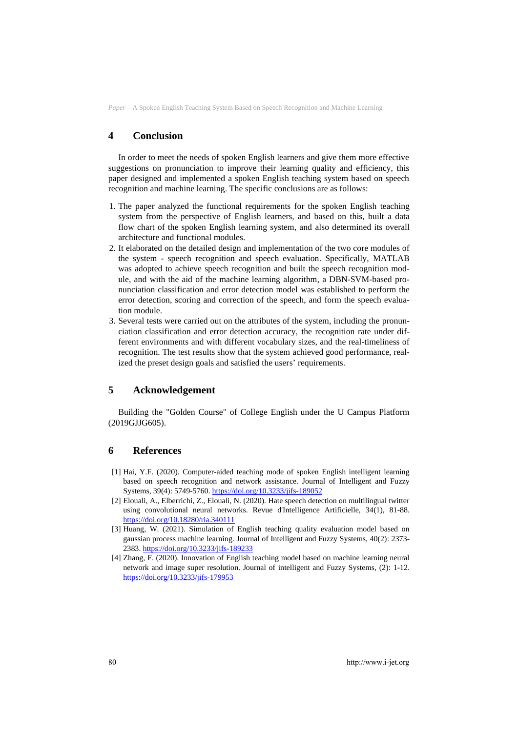# **4 Conclusion**

In order to meet the needs of spoken English learners and give them more effective suggestions on pronunciation to improve their learning quality and efficiency, this paper designed and implemented a spoken English teaching system based on speech recognition and machine learning. The specific conclusions are as follows:

- 1. The paper analyzed the functional requirements for the spoken English teaching system from the perspective of English learners, and based on this, built a data flow chart of the spoken English learning system, and also determined its overall architecture and functional modules.
- 2. It elaborated on the detailed design and implementation of the two core modules of the system - speech recognition and speech evaluation. Specifically, MATLAB was adopted to achieve speech recognition and built the speech recognition module, and with the aid of the machine learning algorithm, a DBN-SVM-based pronunciation classification and error detection model was established to perform the error detection, scoring and correction of the speech, and form the speech evaluation module.
- 3. Several tests were carried out on the attributes of the system, including the pronunciation classification and error detection accuracy, the recognition rate under different environments and with different vocabulary sizes, and the real-timeliness of recognition. The test results show that the system achieved good performance, realized the preset design goals and satisfied the users' requirements.

# **5 Acknowledgement**

Building the "Golden Course" of College English under the U Campus Platform (2019GJJG605).

#### **6 References**

- [1] Hai, Y.F. (2020). Computer-aided teaching mode of spoken English intelligent learning based on speech recognition and network assistance. Journal of Intelligent and Fuzzy Systems, 39(4): 5749-5760. <https://doi.org/10.3233/jifs-189052>
- [2] Elouali, A., Elberrichi, Z., Elouali, N. (2020). Hate speech detection on multilingual twitter using convolutional neural networks. Revue d'Intelligence Artificielle, 34(1), 81-88. <https://doi.org/10.18280/ria.340111>
- [3] Huang, W. (2021). Simulation of English teaching quality evaluation model based on gaussian process machine learning. Journal of Intelligent and Fuzzy Systems, 40(2): 2373- 2383. <https://doi.org/10.3233/jifs-189233>
- [4] Zhang, F. (2020). Innovation of English teaching model based on machine learning neural network and image super resolution. Journal of intelligent and Fuzzy Systems, (2): 1-12. <https://doi.org/10.3233/jifs-179953>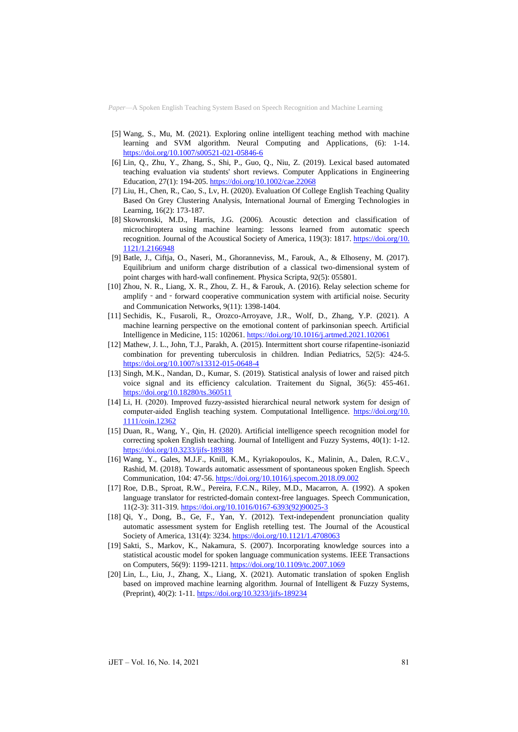- [5] Wang, S., Mu, M. (2021). Exploring online intelligent teaching method with machine learning and SVM algorithm. Neural Computing and Applications, (6): 1-14. <https://doi.org/10.1007/s00521-021-05846-6>
- [6] Lin, Q., Zhu, Y., Zhang, S., Shi, P., Guo, Q., Niu, Z. (2019). Lexical based automated teaching evaluation via students' short reviews. Computer Applications in Engineering Education, 27(1): 194-205. <https://doi.org/10.1002/cae.22068>
- [7] Liu, H., Chen, R., Cao, S., Lv, H. (2020). Evaluation Of College English Teaching Quality Based On Grey Clustering Analysis, International Journal of Emerging Technologies in Learning, 16(2): 173-187.
- [8] Skowronski, M.D., Harris, J.G. (2006). Acoustic detection and classification of microchiroptera using machine learning: lessons learned from automatic speech recognition. Journal of the Acoustical Society of America, 119(3): 1817. [https://doi.org/10.](https://doi.org/10.1121/1.2166948) [1121/1.2166948](https://doi.org/10.1121/1.2166948)
- [9] Batle, J., Ciftja, O., Naseri, M., Ghoranneviss, M., Farouk, A., & Elhoseny, M. (2017). Equilibrium and uniform charge distribution of a classical two-dimensional system of point charges with hard-wall confinement. Physica Scripta, 92(5): 055801.
- [10] Zhou, N. R., Liang, X. R., Zhou, Z. H., & Farouk, A. (2016). Relay selection scheme for amplify - and - forward cooperative communication system with artificial noise. Security and Communication Networks, 9(11): 1398-1404.
- [11] Sechidis, K., Fusaroli, R., Orozco-Arroyave, J.R., Wolf, D., Zhang, Y.P. (2021). A machine learning perspective on the emotional content of parkinsonian speech. Artificial Intelligence in Medicine, 115: 102061. <https://doi.org/10.1016/j.artmed.2021.102061>
- [12] Mathew, J. L., John, T.J., Parakh, A. (2015). Intermittent short course rifapentine-isoniazid combination for preventing tuberculosis in children. Indian Pediatrics, 52(5): 424-5. <https://doi.org/10.1007/s13312-015-0648-4>
- [13] Singh, M.K., Nandan, D., Kumar, S. (2019). Statistical analysis of lower and raised pitch voice signal and its efficiency calculation. Traitement du Signal, 36(5): 455-461. <https://doi.org/10.18280/ts.360511>
- [14] Li, H. (2020). Improved fuzzy‐assisted hierarchical neural network system for design of computer-aided English teaching system. Computational Intelligence. [https://doi.org/10.](https://doi.org/10.1111/coin.12362) [1111/coin.12362](https://doi.org/10.1111/coin.12362)
- [15] Duan, R., Wang, Y., Qin, H. (2020). Artificial intelligence speech recognition model for correcting spoken English teaching. Journal of Intelligent and Fuzzy Systems, 40(1): 1-12. <https://doi.org/10.3233/jifs-189388>
- [16] Wang, Y., Gales, M.J.F., Knill, K.M., Kyriakopoulos, K., Malinin, A., Dalen, R.C.V., Rashid, M. (2018). Towards automatic assessment of spontaneous spoken English. Speech Communication, 104: 47-56. <https://doi.org/10.1016/j.specom.2018.09.002>
- [17] Roe, D.B., Sproat, R.W., Pereira, F.C.N., Riley, M.D., Macarron, A. (1992). A spoken language translator for restricted-domain context-free languages. Speech Communication, 11(2-3): 311-319. [https://doi.org/10.1016/0167-6393\(92\)90025-3](https://doi.org/10.1016/0167-6393(92)90025-3)
- [18] Qi, Y., Dong, B., Ge, F., Yan, Y. (2012). Text-independent pronunciation quality automatic assessment system for English retelling test. The Journal of the Acoustical Society of America, 131(4): 3234. <https://doi.org/10.1121/1.4708063>
- [19] Sakti, S., Markov, K., Nakamura, S. (2007). Incorporating knowledge sources into a statistical acoustic model for spoken language communication systems. IEEE Transactions on Computers, 56(9): 1199-1211. <https://doi.org/10.1109/tc.2007.1069>
- [20] Lin, L., Liu, J., Zhang, X., Liang, X. (2021). Automatic translation of spoken English based on improved machine learning algorithm. Journal of Intelligent & Fuzzy Systems, (Preprint), 40(2): 1-11[. https://doi.org/10.3233/jifs-189234](https://doi.org/10.3233/jifs-189234)